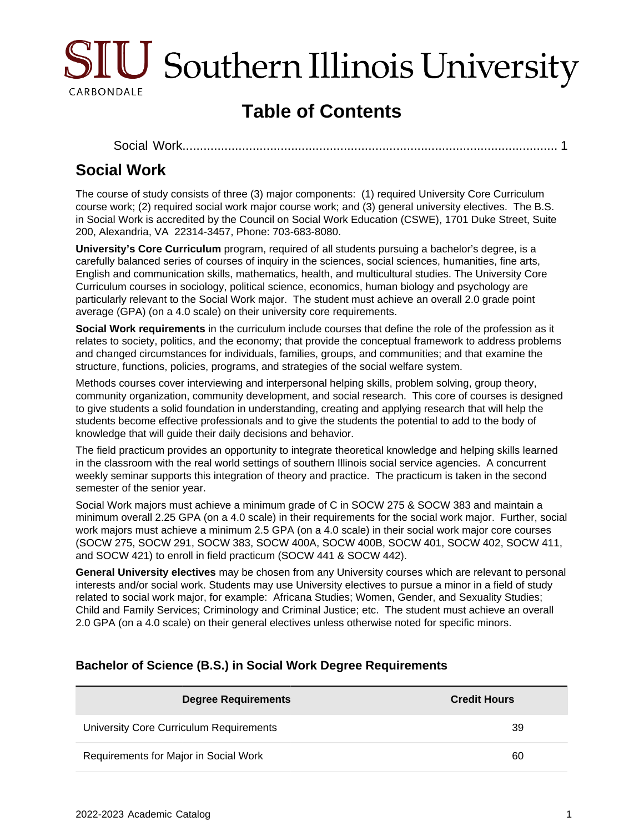

# **Table of Contents**

[Social Work........................................................................................................](#page-0-0)... 1

## <span id="page-0-0"></span>**Social Work**

The course of study consists of three (3) major components: (1) required University Core Curriculum course work; (2) required social work major course work; and (3) general university electives. The B.S. in Social Work is accredited by the Council on Social Work Education (CSWE), 1701 Duke Street, Suite 200, Alexandria, VA 22314-3457, Phone: 703-683-8080.

**University's Core Curriculum** program, required of all students pursuing a bachelor's degree, is a carefully balanced series of courses of inquiry in the sciences, social sciences, humanities, fine arts, English and communication skills, mathematics, health, and multicultural studies. The University Core Curriculum courses in sociology, political science, economics, human biology and psychology are particularly relevant to the Social Work major. The student must achieve an overall 2.0 grade point average (GPA) (on a 4.0 scale) on their university core requirements.

**Social Work requirements** in the curriculum include courses that define the role of the profession as it relates to society, politics, and the economy; that provide the conceptual framework to address problems and changed circumstances for individuals, families, groups, and communities; and that examine the structure, functions, policies, programs, and strategies of the social welfare system.

Methods courses cover interviewing and interpersonal helping skills, problem solving, group theory, community organization, community development, and social research. This core of courses is designed to give students a solid foundation in understanding, creating and applying research that will help the students become effective professionals and to give the students the potential to add to the body of knowledge that will guide their daily decisions and behavior.

The field practicum provides an opportunity to integrate theoretical knowledge and helping skills learned in the classroom with the real world settings of southern Illinois social service agencies. A concurrent weekly seminar supports this integration of theory and practice. The practicum is taken in the second semester of the senior year.

Social Work majors must achieve a minimum grade of C in SOCW 275 & SOCW 383 and maintain a minimum overall 2.25 GPA (on a 4.0 scale) in their requirements for the social work major. Further, social work majors must achieve a minimum 2.5 GPA (on a 4.0 scale) in their social work major core courses (SOCW 275, SOCW 291, SOCW 383, SOCW 400A, SOCW 400B, SOCW 401, SOCW 402, SOCW 411, and SOCW 421) to enroll in field practicum (SOCW 441 & SOCW 442).

**General University electives** may be chosen from any University courses which are relevant to personal interests and/or social work. Students may use University electives to pursue a minor in a field of study related to social work major, for example: Africana Studies; Women, Gender, and Sexuality Studies; Child and Family Services; Criminology and Criminal Justice; etc. The student must achieve an overall 2.0 GPA (on a 4.0 scale) on their general electives unless otherwise noted for specific minors.

| <b>Degree Requirements</b>              | <b>Credit Hours</b> |
|-----------------------------------------|---------------------|
| University Core Curriculum Requirements | 39                  |
| Requirements for Major in Social Work   | 60                  |

#### **Bachelor of Science (B.S.) in Social Work Degree Requirements**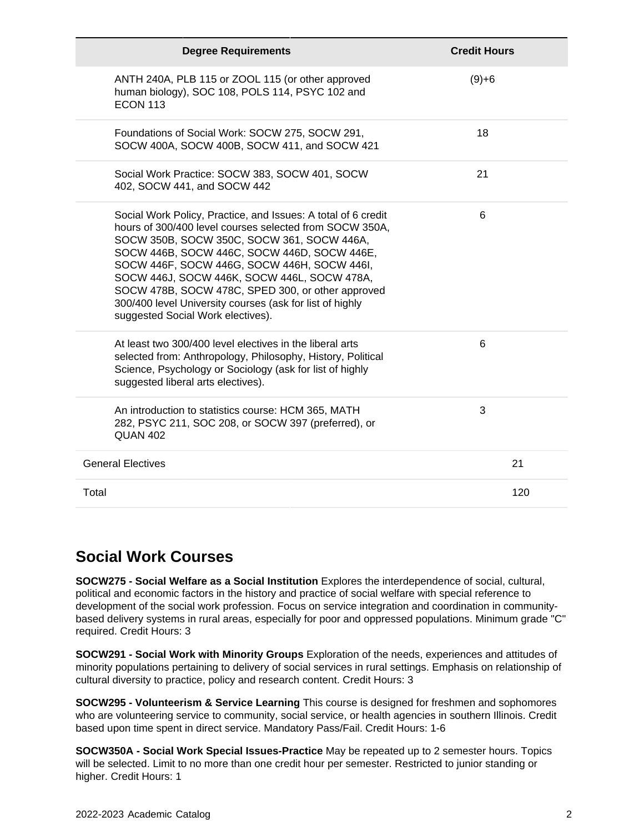| <b>Degree Requirements</b>                                                                                                                                                                                                                                                                                                                                                                                                                                                | <b>Credit Hours</b> |
|---------------------------------------------------------------------------------------------------------------------------------------------------------------------------------------------------------------------------------------------------------------------------------------------------------------------------------------------------------------------------------------------------------------------------------------------------------------------------|---------------------|
| ANTH 240A, PLB 115 or ZOOL 115 (or other approved<br>human biology), SOC 108, POLS 114, PSYC 102 and<br><b>ECON 113</b>                                                                                                                                                                                                                                                                                                                                                   | $(9)+6$             |
| Foundations of Social Work: SOCW 275, SOCW 291,<br>SOCW 400A, SOCW 400B, SOCW 411, and SOCW 421                                                                                                                                                                                                                                                                                                                                                                           | 18                  |
| Social Work Practice: SOCW 383, SOCW 401, SOCW<br>402, SOCW 441, and SOCW 442                                                                                                                                                                                                                                                                                                                                                                                             | 21                  |
| Social Work Policy, Practice, and Issues: A total of 6 credit<br>hours of 300/400 level courses selected from SOCW 350A,<br>SOCW 350B, SOCW 350C, SOCW 361, SOCW 446A,<br>SOCW 446B, SOCW 446C, SOCW 446D, SOCW 446E,<br>SOCW 446F, SOCW 446G, SOCW 446H, SOCW 446I,<br>SOCW 446J, SOCW 446K, SOCW 446L, SOCW 478A,<br>SOCW 478B, SOCW 478C, SPED 300, or other approved<br>300/400 level University courses (ask for list of highly<br>suggested Social Work electives). | 6                   |
| At least two 300/400 level electives in the liberal arts<br>selected from: Anthropology, Philosophy, History, Political<br>Science, Psychology or Sociology (ask for list of highly<br>suggested liberal arts electives).                                                                                                                                                                                                                                                 | 6                   |
| An introduction to statistics course: HCM 365, MATH<br>282, PSYC 211, SOC 208, or SOCW 397 (preferred), or<br><b>QUAN 402</b>                                                                                                                                                                                                                                                                                                                                             | 3                   |
| <b>General Electives</b>                                                                                                                                                                                                                                                                                                                                                                                                                                                  | 21                  |
| Total                                                                                                                                                                                                                                                                                                                                                                                                                                                                     | 120                 |

#### **Social Work Courses**

**SOCW275 - Social Welfare as a Social Institution** Explores the interdependence of social, cultural, political and economic factors in the history and practice of social welfare with special reference to development of the social work profession. Focus on service integration and coordination in communitybased delivery systems in rural areas, especially for poor and oppressed populations. Minimum grade "C" required. Credit Hours: 3

**SOCW291 - Social Work with Minority Groups** Exploration of the needs, experiences and attitudes of minority populations pertaining to delivery of social services in rural settings. Emphasis on relationship of cultural diversity to practice, policy and research content. Credit Hours: 3

**SOCW295 - Volunteerism & Service Learning** This course is designed for freshmen and sophomores who are volunteering service to community, social service, or health agencies in southern Illinois. Credit based upon time spent in direct service. Mandatory Pass/Fail. Credit Hours: 1-6

**SOCW350A - Social Work Special Issues-Practice** May be repeated up to 2 semester hours. Topics will be selected. Limit to no more than one credit hour per semester. Restricted to junior standing or higher. Credit Hours: 1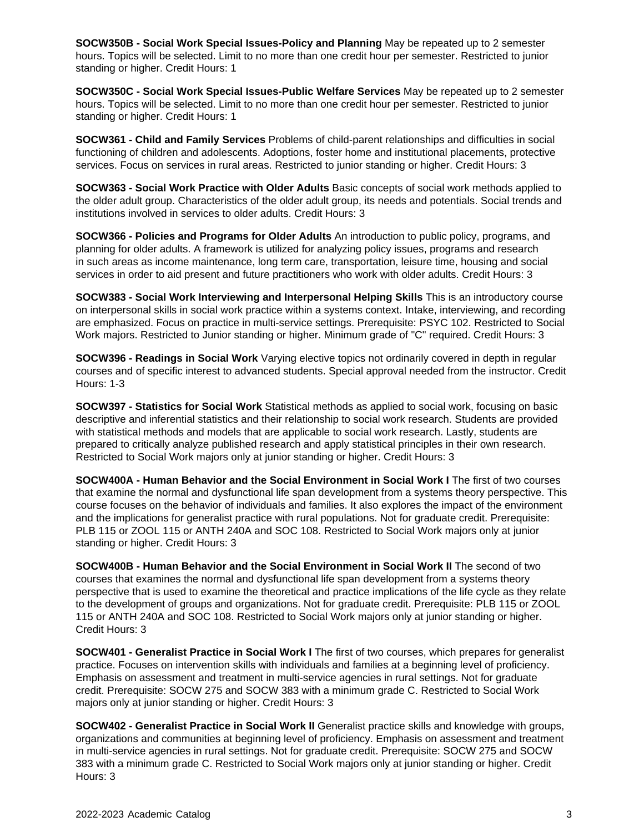**SOCW350B - Social Work Special Issues-Policy and Planning** May be repeated up to 2 semester hours. Topics will be selected. Limit to no more than one credit hour per semester. Restricted to junior standing or higher. Credit Hours: 1

**SOCW350C - Social Work Special Issues-Public Welfare Services** May be repeated up to 2 semester hours. Topics will be selected. Limit to no more than one credit hour per semester. Restricted to junior standing or higher. Credit Hours: 1

**SOCW361 - Child and Family Services** Problems of child-parent relationships and difficulties in social functioning of children and adolescents. Adoptions, foster home and institutional placements, protective services. Focus on services in rural areas. Restricted to junior standing or higher. Credit Hours: 3

**SOCW363 - Social Work Practice with Older Adults** Basic concepts of social work methods applied to the older adult group. Characteristics of the older adult group, its needs and potentials. Social trends and institutions involved in services to older adults. Credit Hours: 3

**SOCW366 - Policies and Programs for Older Adults** An introduction to public policy, programs, and planning for older adults. A framework is utilized for analyzing policy issues, programs and research in such areas as income maintenance, long term care, transportation, leisure time, housing and social services in order to aid present and future practitioners who work with older adults. Credit Hours: 3

**SOCW383 - Social Work Interviewing and Interpersonal Helping Skills** This is an introductory course on interpersonal skills in social work practice within a systems context. Intake, interviewing, and recording are emphasized. Focus on practice in multi-service settings. Prerequisite: PSYC 102. Restricted to Social Work majors. Restricted to Junior standing or higher. Minimum grade of "C" required. Credit Hours: 3

**SOCW396 - Readings in Social Work** Varying elective topics not ordinarily covered in depth in regular courses and of specific interest to advanced students. Special approval needed from the instructor. Credit Hours: 1-3

**SOCW397 - Statistics for Social Work** Statistical methods as applied to social work, focusing on basic descriptive and inferential statistics and their relationship to social work research. Students are provided with statistical methods and models that are applicable to social work research. Lastly, students are prepared to critically analyze published research and apply statistical principles in their own research. Restricted to Social Work majors only at junior standing or higher. Credit Hours: 3

**SOCW400A - Human Behavior and the Social Environment in Social Work I** The first of two courses that examine the normal and dysfunctional life span development from a systems theory perspective. This course focuses on the behavior of individuals and families. It also explores the impact of the environment and the implications for generalist practice with rural populations. Not for graduate credit. Prerequisite: PLB 115 or ZOOL 115 or ANTH 240A and SOC 108. Restricted to Social Work majors only at junior standing or higher. Credit Hours: 3

**SOCW400B - Human Behavior and the Social Environment in Social Work II** The second of two courses that examines the normal and dysfunctional life span development from a systems theory perspective that is used to examine the theoretical and practice implications of the life cycle as they relate to the development of groups and organizations. Not for graduate credit. Prerequisite: PLB 115 or ZOOL 115 or ANTH 240A and SOC 108. Restricted to Social Work majors only at junior standing or higher. Credit Hours: 3

**SOCW401 - Generalist Practice in Social Work I** The first of two courses, which prepares for generalist practice. Focuses on intervention skills with individuals and families at a beginning level of proficiency. Emphasis on assessment and treatment in multi-service agencies in rural settings. Not for graduate credit. Prerequisite: SOCW 275 and SOCW 383 with a minimum grade C. Restricted to Social Work majors only at junior standing or higher. Credit Hours: 3

**SOCW402 - Generalist Practice in Social Work II** Generalist practice skills and knowledge with groups, organizations and communities at beginning level of proficiency. Emphasis on assessment and treatment in multi-service agencies in rural settings. Not for graduate credit. Prerequisite: SOCW 275 and SOCW 383 with a minimum grade C. Restricted to Social Work majors only at junior standing or higher. Credit Hours: 3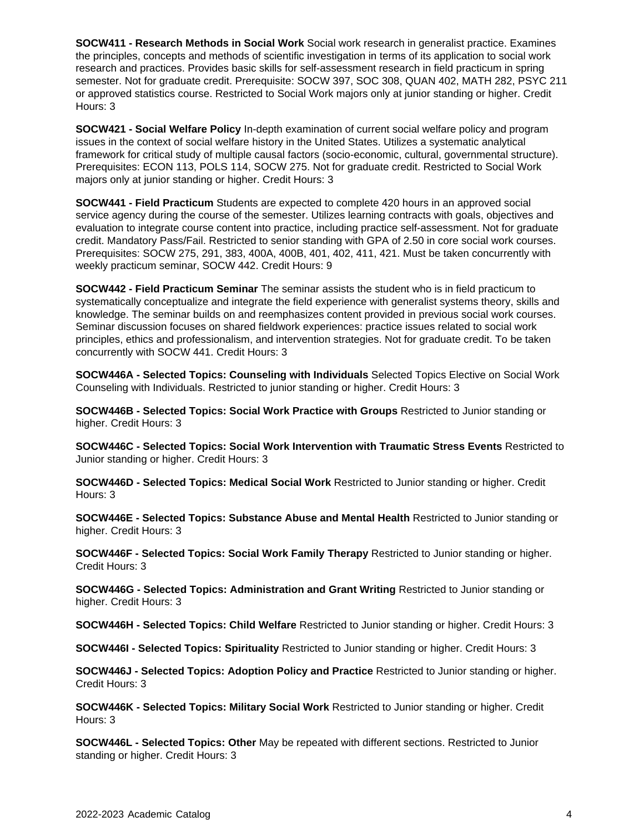**SOCW411 - Research Methods in Social Work** Social work research in generalist practice. Examines the principles, concepts and methods of scientific investigation in terms of its application to social work research and practices. Provides basic skills for self-assessment research in field practicum in spring semester. Not for graduate credit. Prerequisite: SOCW 397, SOC 308, QUAN 402, MATH 282, PSYC 211 or approved statistics course. Restricted to Social Work majors only at junior standing or higher. Credit Hours: 3

**SOCW421 - Social Welfare Policy** In-depth examination of current social welfare policy and program issues in the context of social welfare history in the United States. Utilizes a systematic analytical framework for critical study of multiple causal factors (socio-economic, cultural, governmental structure). Prerequisites: ECON 113, POLS 114, SOCW 275. Not for graduate credit. Restricted to Social Work majors only at junior standing or higher. Credit Hours: 3

**SOCW441 - Field Practicum** Students are expected to complete 420 hours in an approved social service agency during the course of the semester. Utilizes learning contracts with goals, objectives and evaluation to integrate course content into practice, including practice self-assessment. Not for graduate credit. Mandatory Pass/Fail. Restricted to senior standing with GPA of 2.50 in core social work courses. Prerequisites: SOCW 275, 291, 383, 400A, 400B, 401, 402, 411, 421. Must be taken concurrently with weekly practicum seminar, SOCW 442. Credit Hours: 9

**SOCW442 - Field Practicum Seminar** The seminar assists the student who is in field practicum to systematically conceptualize and integrate the field experience with generalist systems theory, skills and knowledge. The seminar builds on and reemphasizes content provided in previous social work courses. Seminar discussion focuses on shared fieldwork experiences: practice issues related to social work principles, ethics and professionalism, and intervention strategies. Not for graduate credit. To be taken concurrently with SOCW 441. Credit Hours: 3

**SOCW446A - Selected Topics: Counseling with Individuals** Selected Topics Elective on Social Work Counseling with Individuals. Restricted to junior standing or higher. Credit Hours: 3

**SOCW446B - Selected Topics: Social Work Practice with Groups** Restricted to Junior standing or higher. Credit Hours: 3

**SOCW446C - Selected Topics: Social Work Intervention with Traumatic Stress Events** Restricted to Junior standing or higher. Credit Hours: 3

**SOCW446D - Selected Topics: Medical Social Work** Restricted to Junior standing or higher. Credit Hours: 3

**SOCW446E - Selected Topics: Substance Abuse and Mental Health** Restricted to Junior standing or higher. Credit Hours: 3

**SOCW446F - Selected Topics: Social Work Family Therapy** Restricted to Junior standing or higher. Credit Hours: 3

**SOCW446G - Selected Topics: Administration and Grant Writing** Restricted to Junior standing or higher. Credit Hours: 3

**SOCW446H - Selected Topics: Child Welfare** Restricted to Junior standing or higher. Credit Hours: 3

**SOCW446I - Selected Topics: Spirituality** Restricted to Junior standing or higher. Credit Hours: 3

**SOCW446J - Selected Topics: Adoption Policy and Practice** Restricted to Junior standing or higher. Credit Hours: 3

**SOCW446K - Selected Topics: Military Social Work** Restricted to Junior standing or higher. Credit Hours: 3

**SOCW446L - Selected Topics: Other** May be repeated with different sections. Restricted to Junior standing or higher. Credit Hours: 3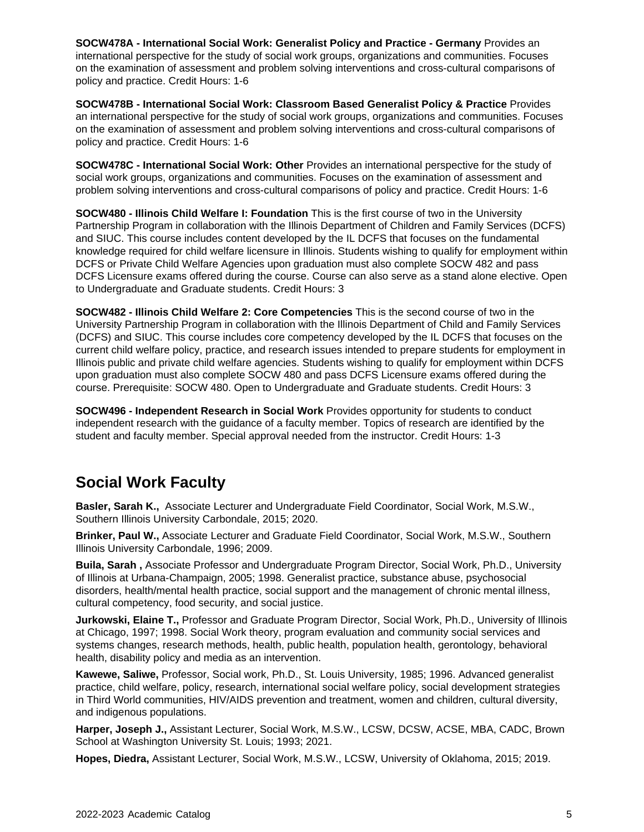**SOCW478A - International Social Work: Generalist Policy and Practice - Germany** Provides an international perspective for the study of social work groups, organizations and communities. Focuses on the examination of assessment and problem solving interventions and cross-cultural comparisons of policy and practice. Credit Hours: 1-6

**SOCW478B - International Social Work: Classroom Based Generalist Policy & Practice** Provides an international perspective for the study of social work groups, organizations and communities. Focuses on the examination of assessment and problem solving interventions and cross-cultural comparisons of policy and practice. Credit Hours: 1-6

**SOCW478C - International Social Work: Other** Provides an international perspective for the study of social work groups, organizations and communities. Focuses on the examination of assessment and problem solving interventions and cross-cultural comparisons of policy and practice. Credit Hours: 1-6

**SOCW480 - Illinois Child Welfare I: Foundation** This is the first course of two in the University Partnership Program in collaboration with the Illinois Department of Children and Family Services (DCFS) and SIUC. This course includes content developed by the IL DCFS that focuses on the fundamental knowledge required for child welfare licensure in Illinois. Students wishing to qualify for employment within DCFS or Private Child Welfare Agencies upon graduation must also complete SOCW 482 and pass DCFS Licensure exams offered during the course. Course can also serve as a stand alone elective. Open to Undergraduate and Graduate students. Credit Hours: 3

**SOCW482 - Illinois Child Welfare 2: Core Competencies** This is the second course of two in the University Partnership Program in collaboration with the Illinois Department of Child and Family Services (DCFS) and SIUC. This course includes core competency developed by the IL DCFS that focuses on the current child welfare policy, practice, and research issues intended to prepare students for employment in Illinois public and private child welfare agencies. Students wishing to qualify for employment within DCFS upon graduation must also complete SOCW 480 and pass DCFS Licensure exams offered during the course. Prerequisite: SOCW 480. Open to Undergraduate and Graduate students. Credit Hours: 3

**SOCW496 - Independent Research in Social Work** Provides opportunity for students to conduct independent research with the guidance of a faculty member. Topics of research are identified by the student and faculty member. Special approval needed from the instructor. Credit Hours: 1-3

## **Social Work Faculty**

**Basler, Sarah K.,** Associate Lecturer and Undergraduate Field Coordinator, Social Work, M.S.W., Southern Illinois University Carbondale, 2015; 2020.

**Brinker, Paul W.,** Associate Lecturer and Graduate Field Coordinator, Social Work, M.S.W., Southern Illinois University Carbondale, 1996; 2009.

**Buila, Sarah ,** Associate Professor and Undergraduate Program Director, Social Work, Ph.D., University of Illinois at Urbana-Champaign, 2005; 1998. Generalist practice, substance abuse, psychosocial disorders, health/mental health practice, social support and the management of chronic mental illness, cultural competency, food security, and social justice.

**Jurkowski, Elaine T.,** Professor and Graduate Program Director, Social Work, Ph.D., University of Illinois at Chicago, 1997; 1998. Social Work theory, program evaluation and community social services and systems changes, research methods, health, public health, population health, gerontology, behavioral health, disability policy and media as an intervention.

**Kawewe, Saliwe,** Professor, Social work, Ph.D., St. Louis University, 1985; 1996. Advanced generalist practice, child welfare, policy, research, international social welfare policy, social development strategies in Third World communities, HIV/AIDS prevention and treatment, women and children, cultural diversity, and indigenous populations.

**Harper, Joseph J.,** Assistant Lecturer, Social Work, M.S.W., LCSW, DCSW, ACSE, MBA, CADC, Brown School at Washington University St. Louis; 1993; 2021.

**Hopes, Diedra,** Assistant Lecturer, Social Work, M.S.W., LCSW, University of Oklahoma, 2015; 2019.